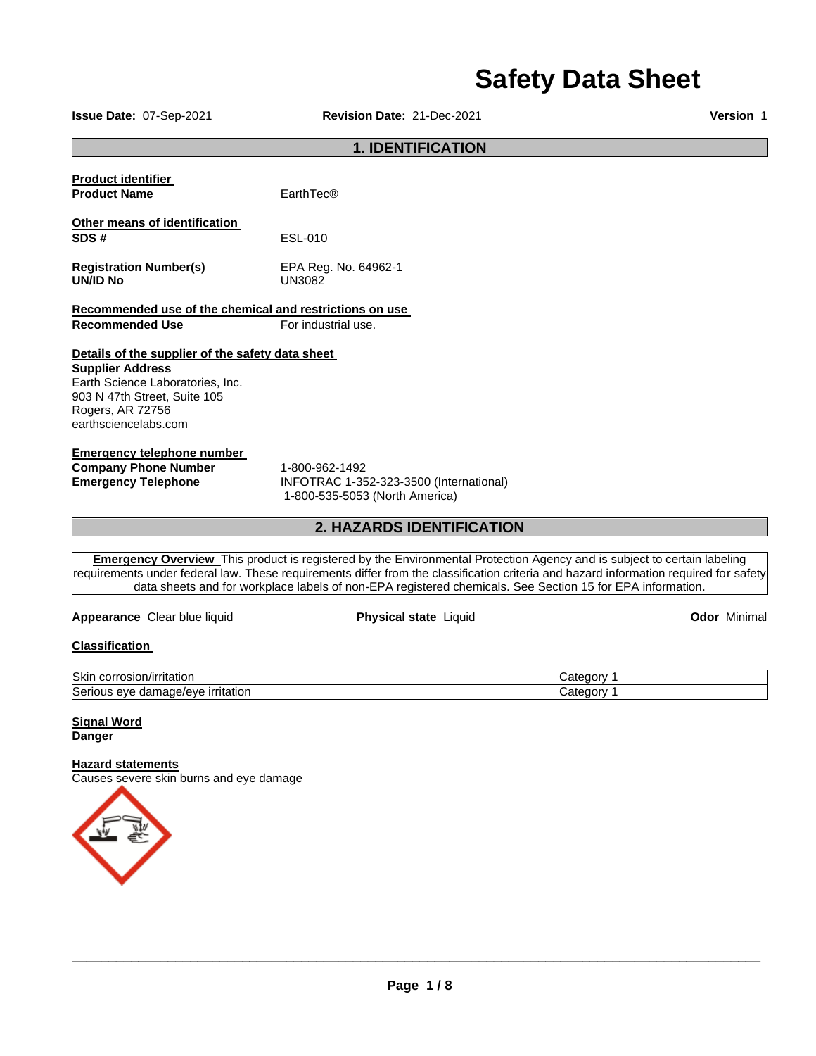# **Safety Data Sheet**

**Issue Date:** 07-Sep-2021 **Revision Date:** 21-Dec-2021 **Version** 1

# **1. IDENTIFICATION**

| <b>Product identifier</b><br><b>Product Name</b>                                                               | EarthTec®                      |
|----------------------------------------------------------------------------------------------------------------|--------------------------------|
| Other means of identification<br>SDS#                                                                          | ESL-010                        |
| <b>Registration Number(s)</b><br><b>UN/ID No</b>                                                               | EPA Reg. No. 64962-1<br>UN3082 |
| Recommended use of the chemical and restrictions on use<br><b>Recommended Use</b>                              | For industrial use.            |
| Details of the supplier of the safety data sheet<br><b>Supplier Address</b><br>Earth Science Laboratories Inc. |                                |

Earth Science Laboratories, Inc. 903 N 47th Street, Suite 105 Rogers, AR 72756 earthsciencelabs.com

### **Emergency telephone number**

**Company Phone Number** 1-800-962-1492

**Emergency Telephone** INFOTRAC 1-352-323-3500 (International) 1-800-535-5053 (North America)

# **2. HAZARDS IDENTIFICATION**

**Emergency Overview** This product is registered by the Environmental Protection Agency and is subject to certain labeling requirements under federal law. These requirements differ from the classification criteria and hazard information required for safety data sheets and for workplace labels of non-EPA registered chemicals. See Section 15 for EPA information.

**Appearance** Clear blue liquid **Physical state** Liquid **Odor** Minimal

# **Classification**

| <b>Skir</b><br><br>τιτατιο.<br>יוריו                                                  | nt.<br>эrу   |
|---------------------------------------------------------------------------------------|--------------|
| Seri<br>litation<br>$-1$ $-1$ $-1$ $-1$<br><b>LEEL</b><br>۱۵۱۱۴<br>eve<br>oamaoe<br>, | . הר<br>.)rv |

**Signal Word Danger** 

### **Hazard statements**

Causes severe skin burns and eye damage

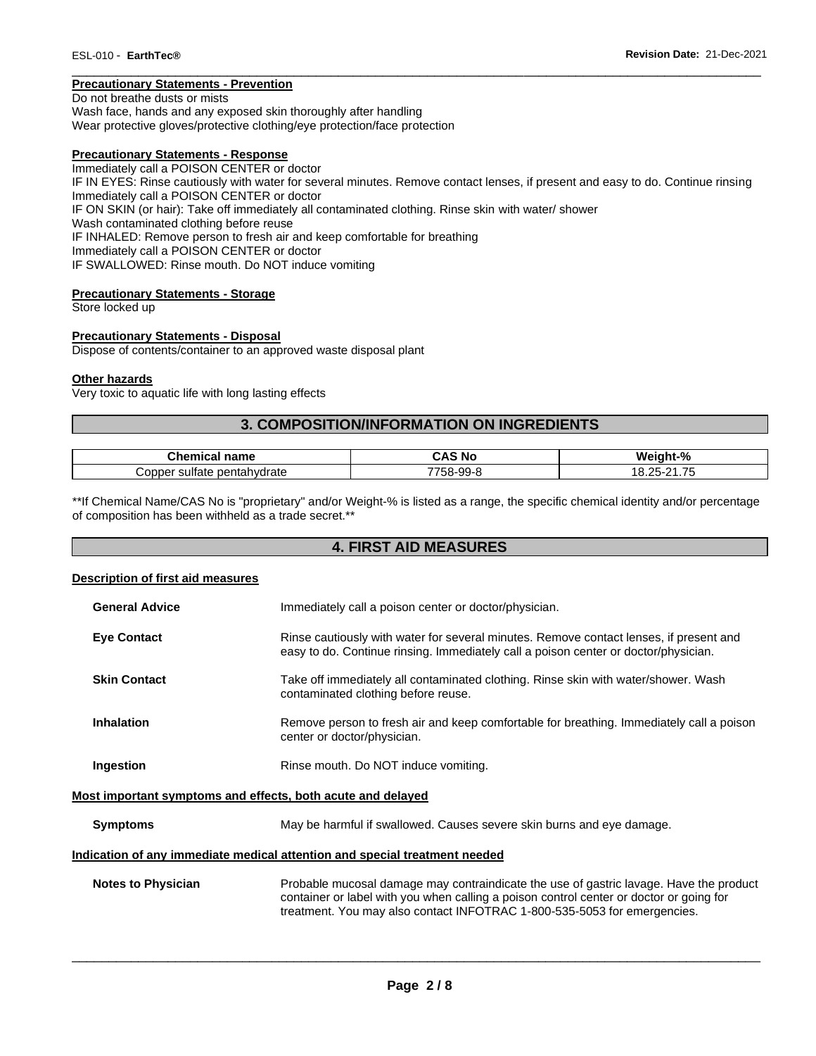### **Precautionary Statements - Prevention**

Do not breathe dusts or mists

Wash face, hands and any exposed skin thoroughly after handling Wear protective gloves/protective clothing/eye protection/face protection

### **Precautionary Statements - Response**

Immediately call a POISON CENTER or doctor IF IN EYES: Rinse cautiously with water for several minutes. Remove contact lenses, if present and easy to do. Continue rinsing Immediately call a POISON CENTER or doctor IF ON SKIN (or hair): Take off immediately all contaminated clothing. Rinse skin with water/ shower Wash contaminated clothing before reuse IF INHALED: Remove person to fresh air and keep comfortable for breathing Immediately call a POISON CENTER or doctor IF SWALLOWED: Rinse mouth. Do NOT induce vomiting

\_\_\_\_\_\_\_\_\_\_\_\_\_\_\_\_\_\_\_\_\_\_\_\_\_\_\_\_\_\_\_\_\_\_\_\_\_\_\_\_\_\_\_\_\_\_\_\_\_\_\_\_\_\_\_\_\_\_\_\_\_\_\_\_\_\_\_\_\_\_\_\_\_\_\_\_\_\_\_\_\_\_\_\_\_\_\_\_\_\_\_\_\_

### **Precautionary Statements - Storage**

Store locked up

### **Precautionary Statements - Disposal**

Dispose of contents/container to an approved waste disposal plant

#### **Other hazards**

Very toxic to aquatic life with long lasting effects

# **3. COMPOSITION/INFORMATION ON INGREDIENTS**

| n <sub>max</sub><br><u>.</u><br>'ialiit<br>--- | ⊺ NC      | $\Omega$<br>W۵<br>m                                        |
|------------------------------------------------|-----------|------------------------------------------------------------|
| pentahydrate<br>sultate<br>:onner<br>. .<br>.  | ----<br>. | $\overline{\phantom{a}}$<br>$\sim$<br><u>т.</u><br>- 6<br> |

\*\*If Chemical Name/CAS No is "proprietary" and/or Weight-% is listed as a range, the specific chemical identity and/or percentage of composition has been withheld as a trade secret.\*\*

# **4. FIRST AID MEASURES**

#### **Description of first aid measures**

| <b>General Advice</b> | Immediately call a poison center or doctor/physician.                                                                                                                         |
|-----------------------|-------------------------------------------------------------------------------------------------------------------------------------------------------------------------------|
| <b>Eye Contact</b>    | Rinse cautiously with water for several minutes. Remove contact lenses, if present and<br>easy to do. Continue rinsing. Immediately call a poison center or doctor/physician. |
| <b>Skin Contact</b>   | Take off immediately all contaminated clothing. Rinse skin with water/shower. Wash<br>contaminated clothing before reuse.                                                     |
| <b>Inhalation</b>     | Remove person to fresh air and keep comfortable for breathing. Immediately call a poison<br>center or doctor/physician.                                                       |
| Ingestion             | Rinse mouth. Do NOT induce vomiting.                                                                                                                                          |

#### **Most important symptoms and effects, both acute and delayed**

**Symptoms May be harmful if swallowed. Causes severe skin burns and eye damage.** 

#### **Indication of any immediate medical attention and special treatment needed**

**Notes to Physician Probable mucosal damage may contraindicate the use of gastric lavage. Have the product** container or label with you when calling a poison control center or doctor or going for treatment. You may also contact INFOTRAC 1-800-535-5053 for emergencies.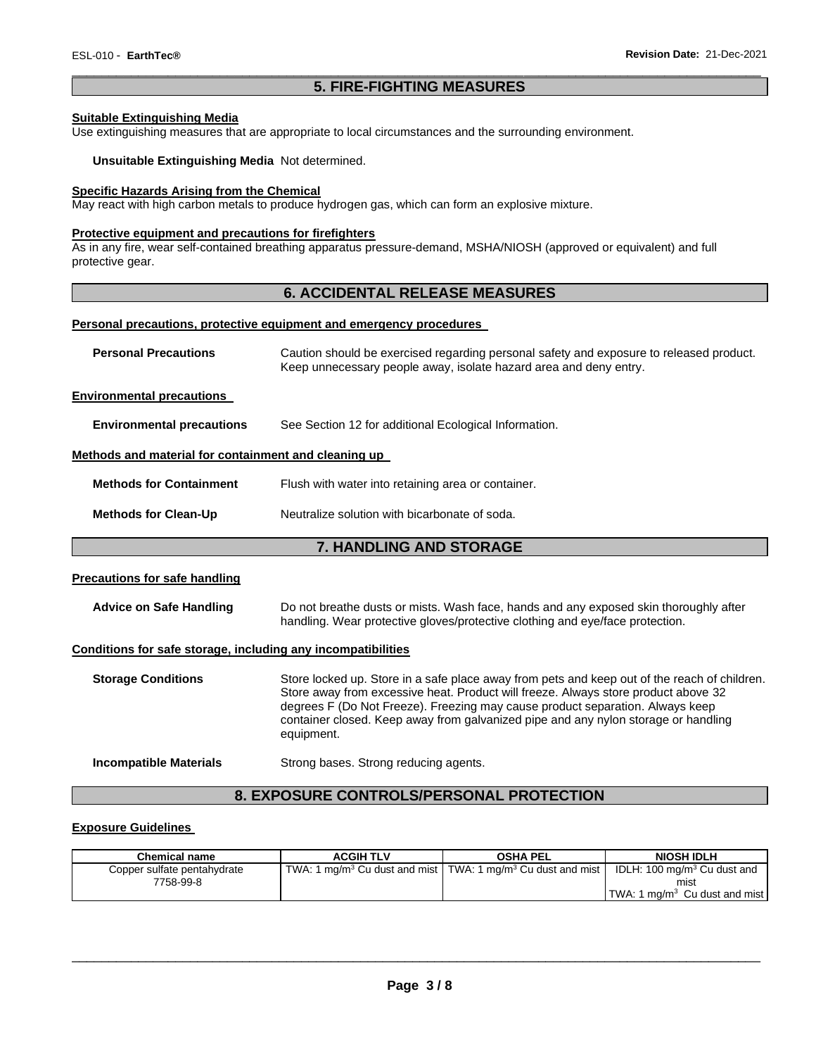# \_\_\_\_\_\_\_\_\_\_\_\_\_\_\_\_\_\_\_\_\_\_\_\_\_\_\_\_\_\_\_\_\_\_\_\_\_\_\_\_\_\_\_\_\_\_\_\_\_\_\_\_\_\_\_\_\_\_\_\_\_\_\_\_\_\_\_\_\_\_\_\_\_\_\_\_\_\_\_\_\_\_\_\_\_\_\_\_\_\_\_\_\_ **5. FIRE-FIGHTING MEASURES**

# **Suitable Extinguishing Media**

Use extinguishing measures that are appropriate to local circumstances and the surrounding environment.

**Unsuitable Extinguishing Media** Not determined.

### **Specific Hazards Arising from the Chemical**

May react with high carbon metals to produce hydrogen gas, which can form an explosive mixture.

### **Protective equipment and precautions for firefighters**

As in any fire, wear self-contained breathing apparatus pressure-demand, MSHA/NIOSH (approved or equivalent) and full protective gear.

# **6. ACCIDENTAL RELEASE MEASURES**

#### **Personal precautions, protective equipment and emergency procedures**

| <b>Personal Precautions</b>                          | Caution should be exercised regarding personal safety and exposure to released product.<br>Keep unnecessary people away, isolate hazard area and deny entry. |
|------------------------------------------------------|--------------------------------------------------------------------------------------------------------------------------------------------------------------|
| <b>Environmental precautions</b>                     |                                                                                                                                                              |
| <b>Environmental precautions</b>                     | See Section 12 for additional Ecological Information.                                                                                                        |
| Methods and material for containment and cleaning up |                                                                                                                                                              |
| <b>Methods for Containment</b>                       | Flush with water into retaining area or container.                                                                                                           |
| <b>Methods for Clean-Up</b>                          | Neutralize solution with bicarbonate of soda.                                                                                                                |
|                                                      | <b>7. HANDLING AND STORAGE</b>                                                                                                                               |
| Dassendens fra sefa ben dilan                        |                                                                                                                                                              |

### **Precautions for safe handling**

| <b>Advice on Safe Handling</b> | Do not breathe dusts or mists. Wash face, hands and any exposed skin thoroughly after |
|--------------------------------|---------------------------------------------------------------------------------------|
|                                | handling. Wear protective gloves/protective clothing and eye/face protection.         |

### **Conditions for safe storage, including any incompatibilities**

| <b>Storage Conditions</b>     | Store locked up. Store in a safe place away from pets and keep out of the reach of children.<br>Store away from excessive heat. Product will freeze. Always store product above 32<br>degrees F (Do Not Freeze). Freezing may cause product separation. Always keep<br>container closed. Keep away from galvanized pipe and any nylon storage or handling<br>equipment. |
|-------------------------------|-------------------------------------------------------------------------------------------------------------------------------------------------------------------------------------------------------------------------------------------------------------------------------------------------------------------------------------------------------------------------|
| <b>Incompatible Materials</b> | Strong bases. Strong reducing agents.                                                                                                                                                                                                                                                                                                                                   |

# **8. EXPOSURE CONTROLS/PERSONAL PROTECTION**

### **Exposure Guidelines**

| Chemical name               | <b>ACGIH TLV</b> | <b>OSHA PEL</b>                                                                       | <b>NIOSH IDLH</b>                                 |
|-----------------------------|------------------|---------------------------------------------------------------------------------------|---------------------------------------------------|
| Copper sulfate pentahydrate |                  | TWA: 1 mg/m <sup>3</sup> Cu dust and mist   TWA: 1 mg/m <sup>3</sup> Cu dust and mist | IDLH: 100 mg/m <sup>3</sup> Cu dust and           |
| 7758-99-8                   |                  |                                                                                       | mist<br>TWA: 1 mg/m <sup>3</sup> Cu dust and mist |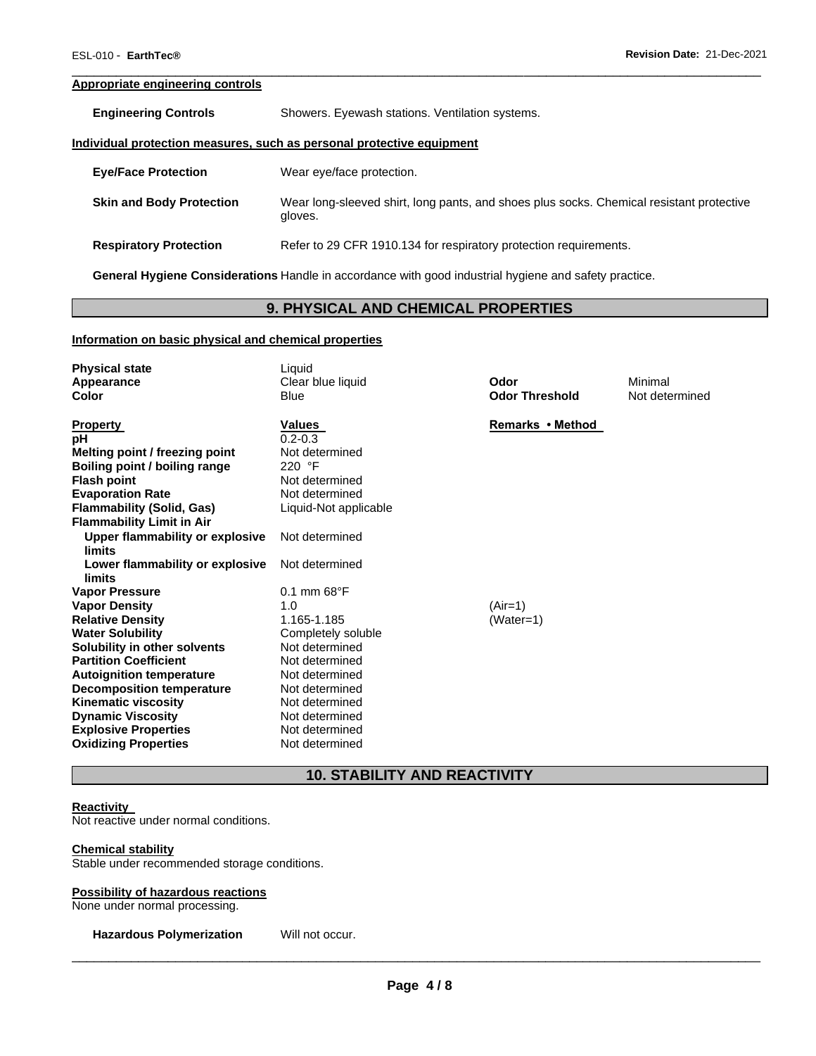# **Appropriate engineering controls**

| <b>Engineering Controls</b> | Showers. Eyewash stations. Ventilation systems. |  |
|-----------------------------|-------------------------------------------------|--|
|                             |                                                 |  |

#### **Individual protection measures, such as personal protective equipment**

| <b>Eve/Face Protection</b>      | Wear eye/face protection.                                                                           |
|---------------------------------|-----------------------------------------------------------------------------------------------------|
| <b>Skin and Body Protection</b> | Wear long-sleeved shirt, long pants, and shoes plus socks. Chemical resistant protective<br>gloves. |
| <b>Respiratory Protection</b>   | Refer to 29 CFR 1910.134 for respiratory protection requirements.                                   |

\_\_\_\_\_\_\_\_\_\_\_\_\_\_\_\_\_\_\_\_\_\_\_\_\_\_\_\_\_\_\_\_\_\_\_\_\_\_\_\_\_\_\_\_\_\_\_\_\_\_\_\_\_\_\_\_\_\_\_\_\_\_\_\_\_\_\_\_\_\_\_\_\_\_\_\_\_\_\_\_\_\_\_\_\_\_\_\_\_\_\_\_\_

**General Hygiene Considerations** Handle in accordance with good industrial hygiene and safety practice.

# **9. PHYSICAL AND CHEMICAL PROPERTIES**

### **Information on basic physical and chemical properties**

| <b>Physical state</b><br>Appearance<br>Color | Liquid<br>Clear blue liquid<br>Blue | Odor<br><b>Odor Threshold</b> | Minimal<br>Not determined |
|----------------------------------------------|-------------------------------------|-------------------------------|---------------------------|
| <b>Property</b>                              | Values                              | Remarks • Method              |                           |
| рH                                           | $0.2 - 0.3$                         |                               |                           |
| Melting point / freezing point               | Not determined                      |                               |                           |
| Boiling point / boiling range                | 220 °F                              |                               |                           |
| <b>Flash point</b>                           | Not determined                      |                               |                           |
| <b>Evaporation Rate</b>                      | Not determined                      |                               |                           |
| <b>Flammability (Solid, Gas)</b>             | Liquid-Not applicable               |                               |                           |
| <b>Flammability Limit in Air</b>             |                                     |                               |                           |
| Upper flammability or explosive              | Not determined                      |                               |                           |
| limits                                       |                                     |                               |                           |
| Lower flammability or explosive              | Not determined                      |                               |                           |
| limits                                       |                                     |                               |                           |
| <b>Vapor Pressure</b>                        | $0.1$ mm $68^{\circ}$ F             |                               |                           |
| <b>Vapor Density</b>                         | 1.0                                 | $(Air=1)$                     |                           |
| <b>Relative Density</b>                      | 1.165-1.185                         | (Water=1)                     |                           |
| <b>Water Solubility</b>                      | Completely soluble                  |                               |                           |
| Solubility in other solvents                 | Not determined                      |                               |                           |
| <b>Partition Coefficient</b>                 | Not determined                      |                               |                           |
| <b>Autoignition temperature</b>              | Not determined                      |                               |                           |
| <b>Decomposition temperature</b>             | Not determined                      |                               |                           |
| <b>Kinematic viscosity</b>                   | Not determined                      |                               |                           |
| <b>Dynamic Viscosity</b>                     | Not determined                      |                               |                           |
| <b>Explosive Properties</b>                  | Not determined                      |                               |                           |
| <b>Oxidizing Properties</b>                  | Not determined                      |                               |                           |

# **10. STABILITY AND REACTIVITY**

#### **Reactivity**

Not reactive under normal conditions.

#### **Chemical stability**

Stable under recommended storage conditions.

### **Possibility of hazardous reactions**

None under normal processing.

**Hazardous Polymerization** Will not occur.

**Page 4 / 8**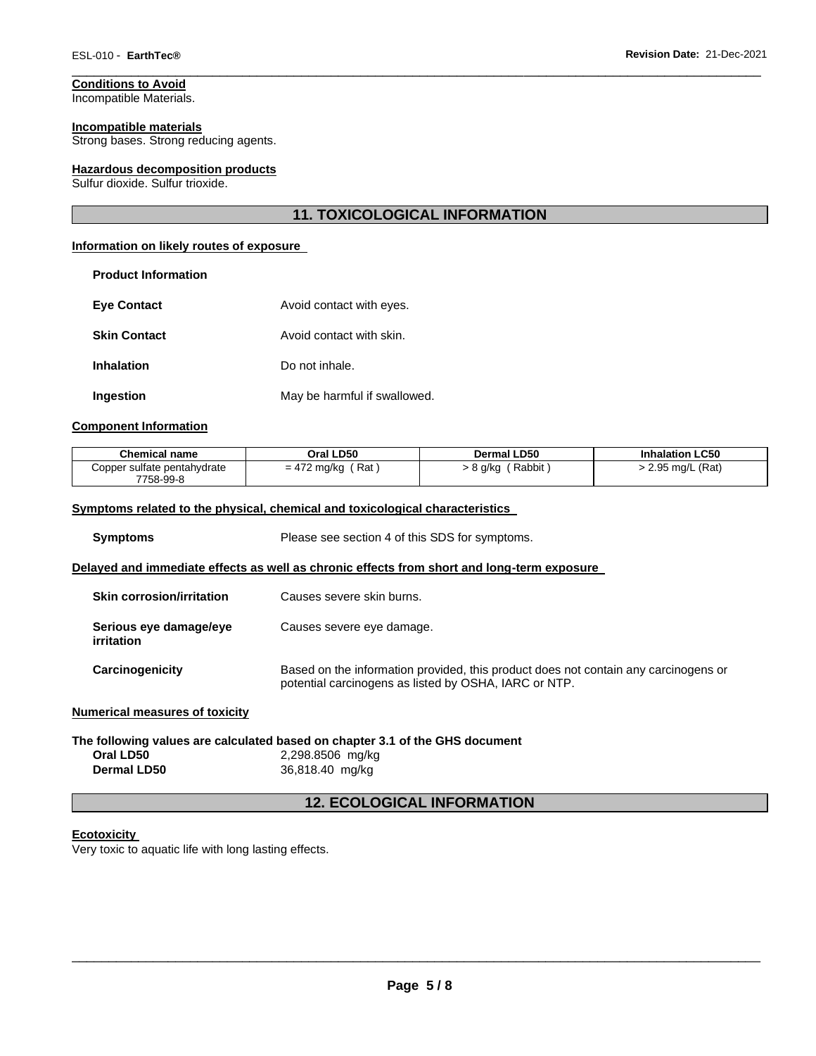**Conditions to Avoid** Incompatible Materials.

# **Incompatible materials**

Strong bases. Strong reducing agents.

### **Hazardous decomposition products**

Sulfur dioxide. Sulfur trioxide.

# **11. TOXICOLOGICAL INFORMATION**

\_\_\_\_\_\_\_\_\_\_\_\_\_\_\_\_\_\_\_\_\_\_\_\_\_\_\_\_\_\_\_\_\_\_\_\_\_\_\_\_\_\_\_\_\_\_\_\_\_\_\_\_\_\_\_\_\_\_\_\_\_\_\_\_\_\_\_\_\_\_\_\_\_\_\_\_\_\_\_\_\_\_\_\_\_\_\_\_\_\_\_\_\_

### **Information on likely routes of exposure**

| <b>Product Information</b> |                              |
|----------------------------|------------------------------|
| <b>Eve Contact</b>         | Avoid contact with eyes.     |
| <b>Skin Contact</b>        | Avoid contact with skin.     |
| Inhalation                 | Do not inhale.               |
| Ingestion                  | May be harmful if swallowed. |

# **Component Information**

| <b>Chemical name</b>                     | Oral LD50           | Dermal LD50       | <b>Inhalation LC50</b> |
|------------------------------------------|---------------------|-------------------|------------------------|
| Copper sulfate pentahydrate<br>7758-99-8 | $=$ 472 mg/kg (Rat) | > 8 g/kg (Rabbit) | > 2.95 mg/L (Rat)      |

### **Symptoms related to the physical, chemical and toxicological characteristics**

**Dermal LD50** 36,818.40 mg/kg

| <b>Symptoms</b>                             | Please see section 4 of this SDS for symptoms.                                                                                               |  |  |  |
|---------------------------------------------|----------------------------------------------------------------------------------------------------------------------------------------------|--|--|--|
|                                             | Delayed and immediate effects as well as chronic effects from short and long-term exposure                                                   |  |  |  |
| <b>Skin corrosion/irritation</b>            | Causes severe skin burns.                                                                                                                    |  |  |  |
| Serious eye damage/eye<br><i>irritation</i> | Causes severe eye damage.                                                                                                                    |  |  |  |
| Carcinogenicity                             | Based on the information provided, this product does not contain any carcinogens or<br>potential carcinogens as listed by OSHA, IARC or NTP. |  |  |  |
| <b>Numerical measures of toxicity</b>       |                                                                                                                                              |  |  |  |
|                                             | The following values are calculated based on chapter 3.1 of the GHS document                                                                 |  |  |  |
| Oral LD50                                   | 2,298.8506 mg/kg                                                                                                                             |  |  |  |
| <b>Dermal LD50</b>                          | 36.818.40 ma/ka                                                                                                                              |  |  |  |

# **12. ECOLOGICAL INFORMATION**

# **Ecotoxicity**

Very toxic to aquatic life with long lasting effects.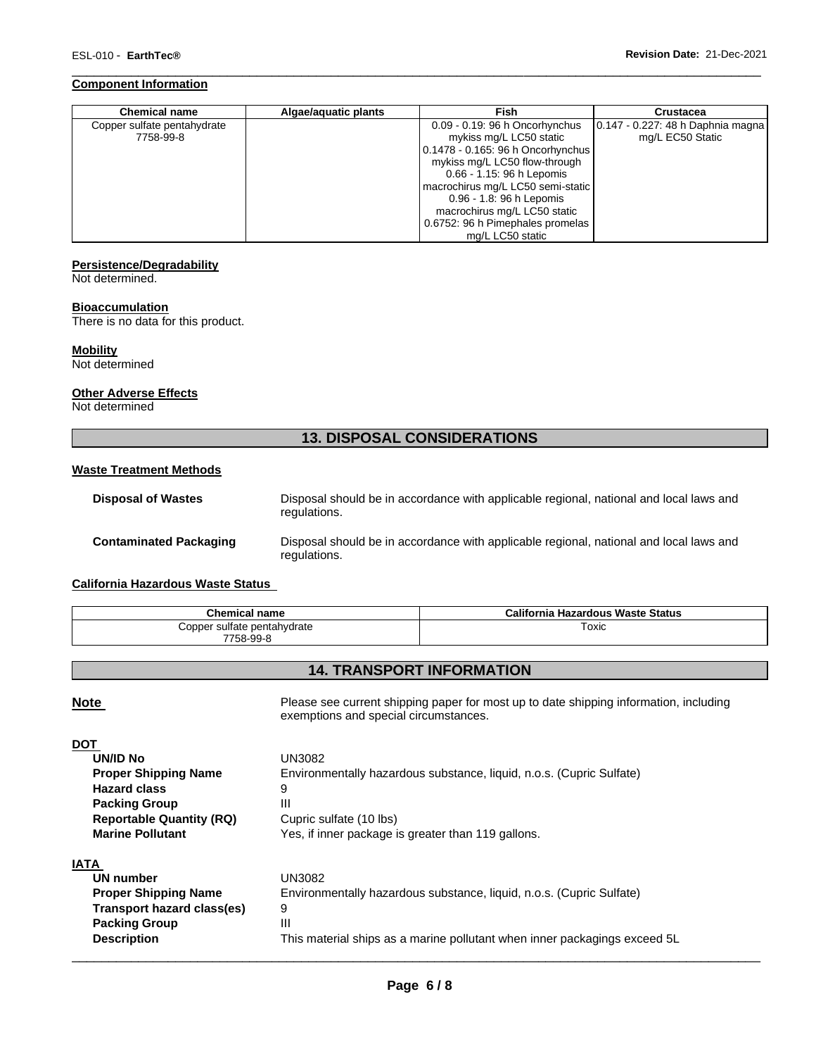### **Component Information**

| <b>Chemical name</b>        | Algae/aquatic plants | Fish                              | Crustacea                         |
|-----------------------------|----------------------|-----------------------------------|-----------------------------------|
| Copper sulfate pentahydrate |                      | 0.09 - 0.19: 96 h Oncorhynchus    | 0.147 - 0.227: 48 h Daphnia magna |
| 7758-99-8                   |                      | mykiss mg/L LC50 static           | mg/L EC50 Static                  |
|                             |                      | 0.1478 - 0.165: 96 h Oncorhynchus |                                   |
|                             |                      | mykiss mg/L LC50 flow-through     |                                   |
|                             |                      | 0.66 - 1.15: 96 h Lepomis         |                                   |
|                             |                      | macrochirus mg/L LC50 semi-static |                                   |
|                             |                      | 0.96 - 1.8: 96 h Lepomis          |                                   |
|                             |                      | macrochirus mg/L LC50 static      |                                   |
|                             |                      | 0.6752: 96 h Pimephales promelas  |                                   |
|                             |                      | mg/L LC50 static                  |                                   |

\_\_\_\_\_\_\_\_\_\_\_\_\_\_\_\_\_\_\_\_\_\_\_\_\_\_\_\_\_\_\_\_\_\_\_\_\_\_\_\_\_\_\_\_\_\_\_\_\_\_\_\_\_\_\_\_\_\_\_\_\_\_\_\_\_\_\_\_\_\_\_\_\_\_\_\_\_\_\_\_\_\_\_\_\_\_\_\_\_\_\_\_\_

### **Persistence/Degradability**

Not determined.

### **Bioaccumulation**

There is no data for this product.

# **Mobility**

Not determined

# **Other Adverse Effects**

Not determined

# **13. DISPOSAL CONSIDERATIONS**

# **Waste Treatment Methods**

| <b>Disposal of Wastes</b>     | Disposal should be in accordance with applicable regional, national and local laws and<br>regulations. |
|-------------------------------|--------------------------------------------------------------------------------------------------------|
| <b>Contaminated Packaging</b> | Disposal should be in accordance with applicable regional, national and local laws and<br>regulations. |

### **California Hazardous Waste Status**

| <b>Chemical name</b>                     | California Hazardous Waste Status |
|------------------------------------------|-----------------------------------|
| Copper sulfate pentahvdrate<br>7758-99-8 | Гохіс                             |

# **14. TRANSPORT INFORMATION**

**Note** Please see current shipping paper for most up to date shipping information, including exemptions and special circumstances.

| <b>DOT</b>                      |                                                                           |
|---------------------------------|---------------------------------------------------------------------------|
| <b>UN/ID No</b>                 | UN3082                                                                    |
| <b>Proper Shipping Name</b>     | Environmentally hazardous substance, liquid, n.o.s. (Cupric Sulfate)      |
| <b>Hazard class</b>             | 9                                                                         |
| <b>Packing Group</b>            | Ш                                                                         |
| <b>Reportable Quantity (RQ)</b> | Cupric sulfate (10 lbs)                                                   |
| <b>Marine Pollutant</b>         | Yes, if inner package is greater than 119 gallons.                        |
| <b>IATA</b>                     |                                                                           |
| UN number                       | UN3082                                                                    |
| <b>Proper Shipping Name</b>     | Environmentally hazardous substance, liquid, n.o.s. (Cupric Sulfate)      |
| Transport hazard class(es)      | 9                                                                         |
| <b>Packing Group</b>            | Ш                                                                         |
| <b>Description</b>              | This material ships as a marine pollutant when inner packagings exceed 5L |
|                                 |                                                                           |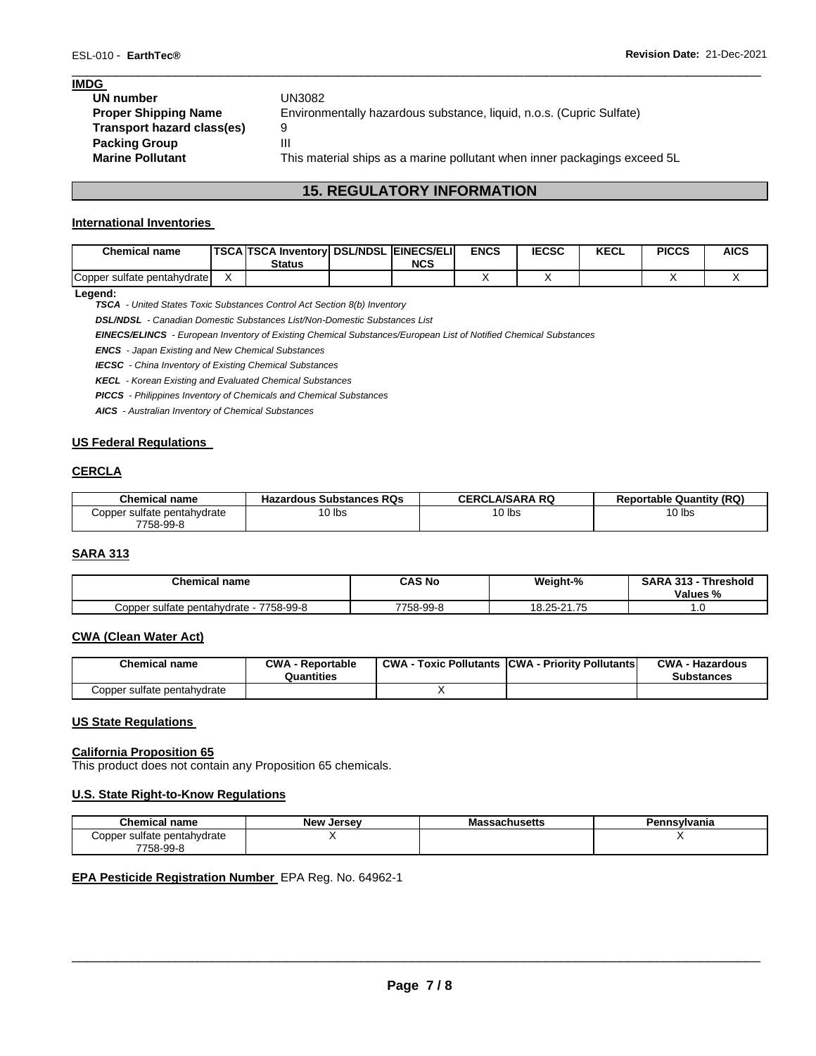### **IMDG**

| UN number                   | UN3082                                                                    |
|-----------------------------|---------------------------------------------------------------------------|
| <b>Proper Shipping Name</b> | Environmentally hazardous substance, liquid, n.o.s. (Cupric Sulfate)      |
| Transport hazard class(es)  | 9                                                                         |
| <b>Packing Group</b>        | Ш                                                                         |
| <b>Marine Pollutant</b>     | This material ships as a marine pollutant when inner packagings exceed 5L |
|                             |                                                                           |

# **15. REGULATORY INFORMATION**

\_\_\_\_\_\_\_\_\_\_\_\_\_\_\_\_\_\_\_\_\_\_\_\_\_\_\_\_\_\_\_\_\_\_\_\_\_\_\_\_\_\_\_\_\_\_\_\_\_\_\_\_\_\_\_\_\_\_\_\_\_\_\_\_\_\_\_\_\_\_\_\_\_\_\_\_\_\_\_\_\_\_\_\_\_\_\_\_\_\_\_\_\_

# **International Inventories**

| <b>Chemical name</b>        | <b>TSCA TSCA Inventory DSL/NDSL EINECS/ELI</b><br><b>Status</b> | <b>NCS</b> | <b>ENCS</b> | <b>IECSC</b> | <b>KECL</b> | <b>PICCS</b> | <b>AICS</b> |
|-----------------------------|-----------------------------------------------------------------|------------|-------------|--------------|-------------|--------------|-------------|
| Copper sulfate pentahydrate |                                                                 |            |             |              |             |              |             |

### **Legend:**

*TSCA - United States Toxic Substances Control Act Section 8(b) Inventory* 

*DSL/NDSL - Canadian Domestic Substances List/Non-Domestic Substances List* 

*EINECS/ELINCS - European Inventory of Existing Chemical Substances/European List of Notified Chemical Substances* 

*ENCS - Japan Existing and New Chemical Substances* 

*IECSC - China Inventory of Existing Chemical Substances* 

*KECL - Korean Existing and Evaluated Chemical Substances* 

*PICCS - Philippines Inventory of Chemicals and Chemical Substances* 

*AICS - Australian Inventory of Chemical Substances* 

### **US Federal Regulations**

### **CERCLA**

| <b>Chemical name</b>                     | <b>Hazardous Substances RQs</b> | <b>CERCLA/SARA RQ</b> | <b>Reportable Quantity (RQ)</b> |
|------------------------------------------|---------------------------------|-----------------------|---------------------------------|
| Copper sulfate pentahydrate<br>7758-99-8 | 10 lbs                          | 10 lbs                | $10$ lbs                        |

### **SARA 313**

| <b>Chemical name</b>                     | <b>CAS No</b> | Weight-%    | <b>SARA 313</b><br>$\sim$ 242<br>Threshold<br>Values % |
|------------------------------------------|---------------|-------------|--------------------------------------------------------|
| 7758-99-8<br>Copper sulfate pentahydrate | 7758-99-8     | 18.25-21.75 | ں.                                                     |

# **CWA (Clean Water Act)**

| <b>Chemical name</b>        | <b>CWA - Reportable</b><br>Quantities | <b>CWA - Toxic Pollutants CWA - Priority Pollutants</b> | <b>CWA - Hazardous</b><br><b>Substances</b> |
|-----------------------------|---------------------------------------|---------------------------------------------------------|---------------------------------------------|
| Copper sulfate pentahydrate |                                       |                                                         |                                             |

#### **US State Regulations**

#### **California Proposition 65**

This product does not contain any Proposition 65 chemicals.

### **U.S. State Right-to-Know Regulations**

| Chemical name               | <b>New Jersey</b> | Massachusetts | Pennsylvania |
|-----------------------------|-------------------|---------------|--------------|
| Copper sulfate pentahydrate |                   |               |              |
| 7758-99-8                   |                   |               |              |

### **EPA Pesticide Registration Number** EPA Reg. No. 64962-1